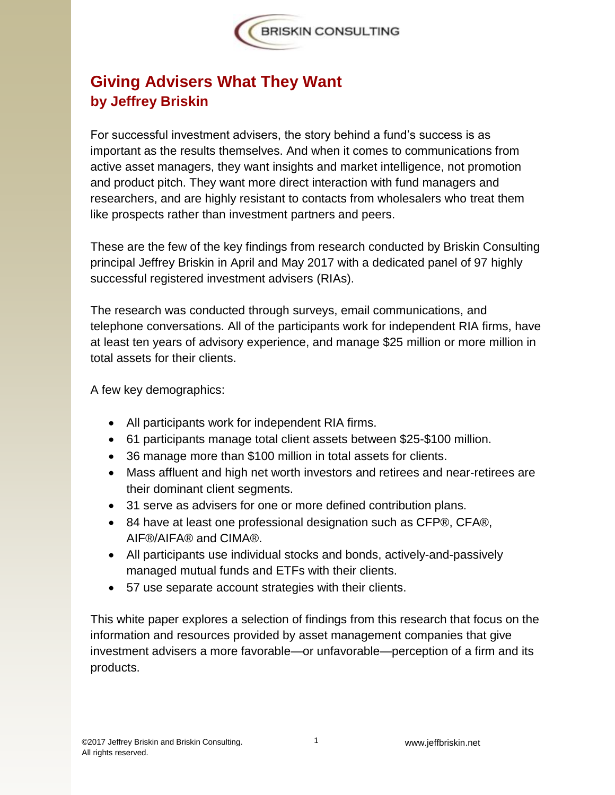# **Giving Advisers What They Want by Jeffrey Briskin**

For successful investment advisers, the story behind a fund's success is as important as the results themselves. And when it comes to communications from active asset managers, they want insights and market intelligence, not promotion and product pitch. They want more direct interaction with fund managers and researchers, and are highly resistant to contacts from wholesalers who treat them like prospects rather than investment partners and peers.

These are the few of the key findings from research conducted by Briskin Consulting principal Jeffrey Briskin in April and May 2017 with a dedicated panel of 97 highly successful registered investment advisers (RIAs).

The research was conducted through surveys, email communications, and telephone conversations. All of the participants work for independent RIA firms, have at least ten years of advisory experience, and manage \$25 million or more million in total assets for their clients.

A few key demographics:

- All participants work for independent RIA firms.
- 61 participants manage total client assets between \$25-\$100 million.
- 36 manage more than \$100 million in total assets for clients.
- Mass affluent and high net worth investors and retirees and near-retirees are their dominant client segments.
- 31 serve as advisers for one or more defined contribution plans.
- 84 have at least one professional designation such as CFP®, CFA®, AIF®/AIFA® and CIMA®.
- All participants use individual stocks and bonds, actively-and-passively managed mutual funds and ETFs with their clients.
- 57 use separate account strategies with their clients.

This white paper explores a selection of findings from this research that focus on the information and resources provided by asset management companies that give investment advisers a more favorable—or unfavorable—perception of a firm and its products.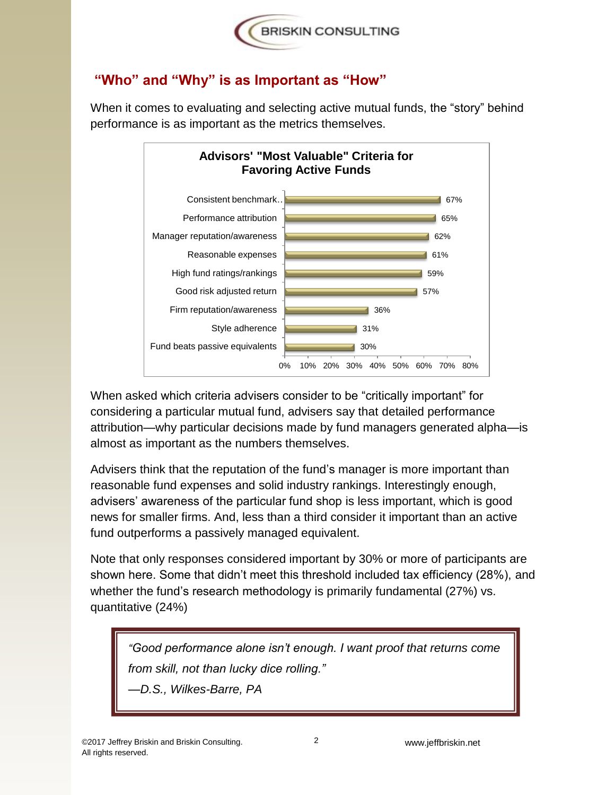

#### **"Who" and "Why" is as Important as "How"**



When it comes to evaluating and selecting active mutual funds, the "story" behind performance is as important as the metrics themselves.

When asked which criteria advisers consider to be "critically important" for considering a particular mutual fund, advisers say that detailed performance attribution—why particular decisions made by fund managers generated alpha—is almost as important as the numbers themselves.

Advisers think that the reputation of the fund's manager is more important than reasonable fund expenses and solid industry rankings. Interestingly enough, advisers' awareness of the particular fund shop is less important, which is good news for smaller firms. And, less than a third consider it important than an active fund outperforms a passively managed equivalent.

Note that only responses considered important by 30% or more of participants are shown here. Some that didn't meet this threshold included tax efficiency (28%), and whether the fund's research methodology is primarily fundamental (27%) vs. quantitative (24%)

*"Good performance alone isn't enough. I want proof that returns come from skill, not than lucky dice rolling."* —*D.S., Wilkes-Barre, PA*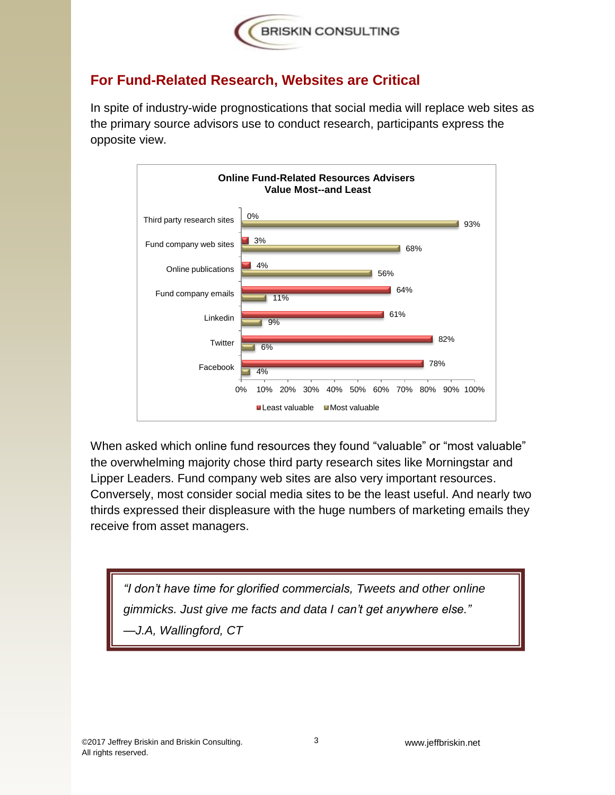

## **For Fund-Related Research, Websites are Critical**

In spite of industry-wide prognostications that social media will replace web sites as the primary source advisors use to conduct research, participants express the opposite view.



When asked which online fund resources they found "valuable" or "most valuable" the overwhelming majority chose third party research sites like Morningstar and Lipper Leaders. Fund company web sites are also very important resources. Conversely, most consider social media sites to be the least useful. And nearly two thirds expressed their displeasure with the huge numbers of marketing emails they receive from asset managers.

*"I don't have time for glorified commercials, Tweets and other online gimmicks. Just give me facts and data I can't get anywhere else."*  —*J.A, Wallingford, CT*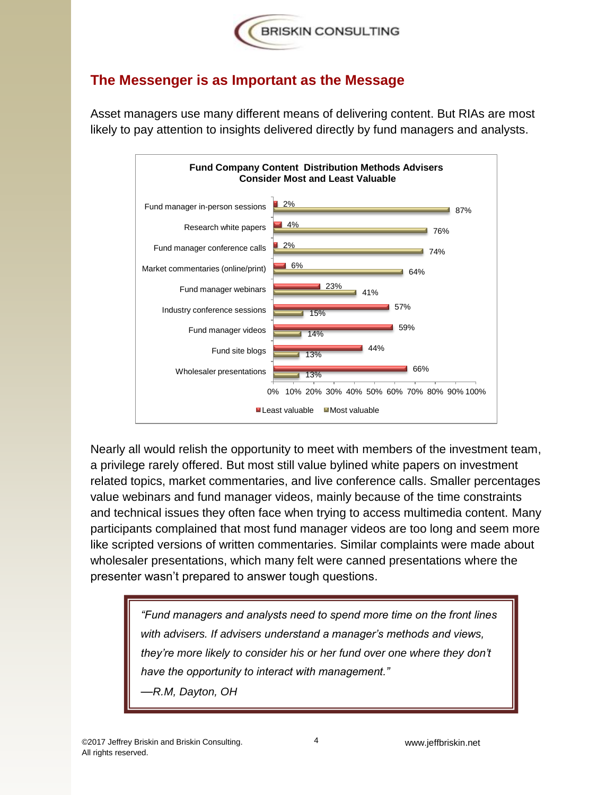

### **The Messenger is as Important as the Message**

Asset managers use many different means of delivering content. But RIAs are most likely to pay attention to insights delivered directly by fund managers and analysts.



Nearly all would relish the opportunity to meet with members of the investment team, a privilege rarely offered. But most still value bylined white papers on investment related topics, market commentaries, and live conference calls. Smaller percentages value webinars and fund manager videos, mainly because of the time constraints and technical issues they often face when trying to access multimedia content. Many participants complained that most fund manager videos are too long and seem more like scripted versions of written commentaries. Similar complaints were made about wholesaler presentations, which many felt were canned presentations where the presenter wasn't prepared to answer tough questions.

> *"Fund managers and analysts need to spend more time on the front lines with advisers. If advisers understand a manager's methods and views, they're more likely to consider his or her fund over one where they don't have the opportunity to interact with management."* —*R.M, Dayton, OH*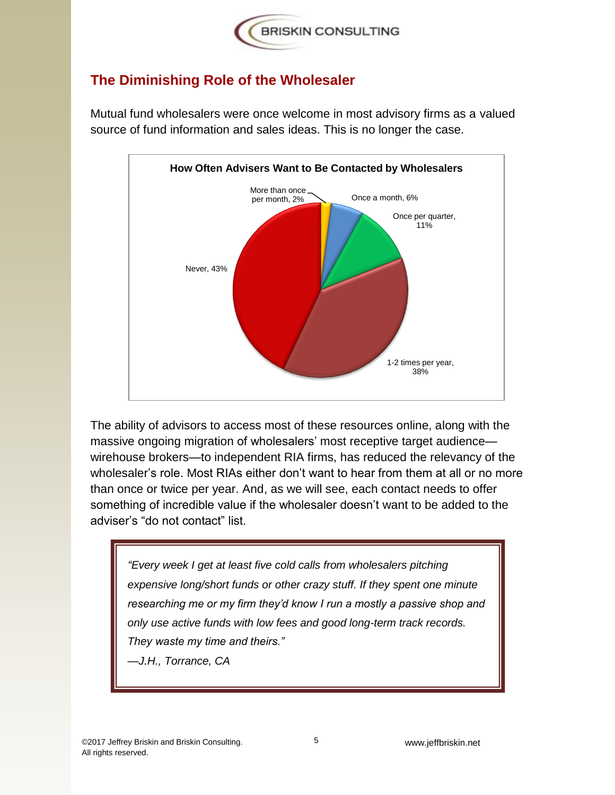

#### **The Diminishing Role of the Wholesaler**



Mutual fund wholesalers were once welcome in most advisory firms as a valued source of fund information and sales ideas. This is no longer the case.

The ability of advisors to access most of these resources online, along with the massive ongoing migration of wholesalers' most receptive target audience wirehouse brokers—to independent RIA firms, has reduced the relevancy of the wholesaler's role. Most RIAs either don't want to hear from them at all or no more than once or twice per year. And, as we will see, each contact needs to offer something of incredible value if the wholesaler doesn't want to be added to the adviser's "do not contact" list.

*"Every week I get at least five cold calls from wholesalers pitching expensive long/short funds or other crazy stuff. If they spent one minute researching me or my firm they'd know I run a mostly a passive shop and only use active funds with low fees and good long-term track records. They waste my time and theirs."* 

—*J.H., Torrance, CA*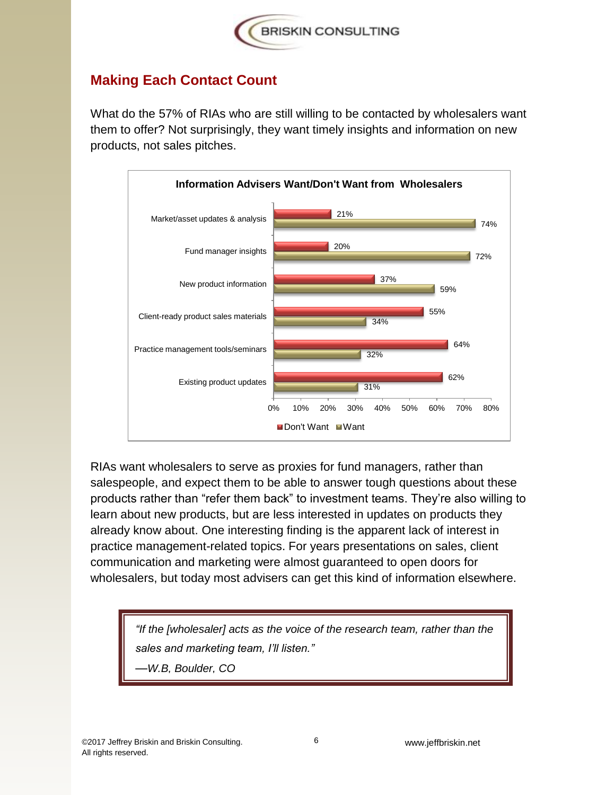

## **Making Each Contact Count**

What do the 57% of RIAs who are still willing to be contacted by wholesalers want them to offer? Not surprisingly, they want timely insights and information on new products, not sales pitches.



RIAs want wholesalers to serve as proxies for fund managers, rather than salespeople, and expect them to be able to answer tough questions about these products rather than "refer them back" to investment teams. They're also willing to learn about new products, but are less interested in updates on products they already know about. One interesting finding is the apparent lack of interest in practice management-related topics. For years presentations on sales, client communication and marketing were almost guaranteed to open doors for wholesalers, but today most advisers can get this kind of information elsewhere.

> *"If the [wholesaler] acts as the voice of the research team, rather than the sales and marketing team, I'll listen."*  —*W.B, Boulder, CO*